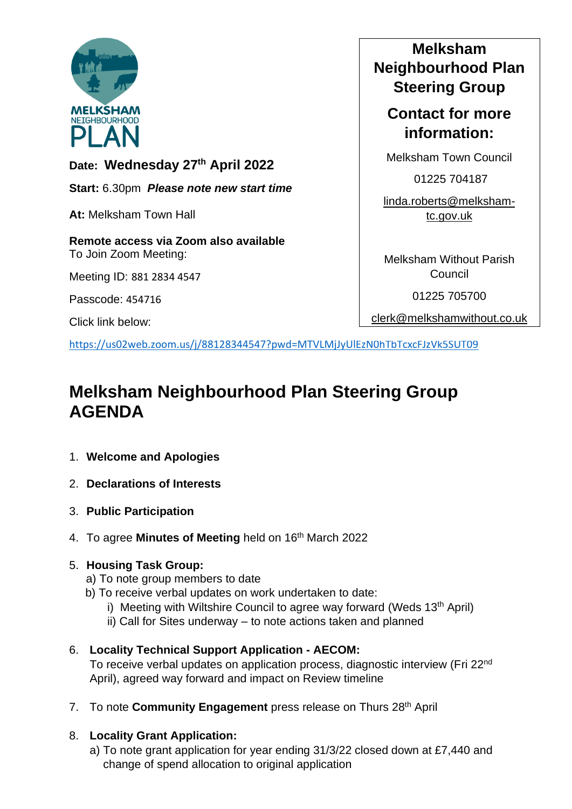

**Date: Wednesday 27th April 2022**

**Start:** 6.30pm *Please note new start time*

**At:** Melksham Town Hall

**Remote access via Zoom also available** To Join Zoom Meeting:

Meeting ID: 881 2834 4547

Passcode: 454716

Click link below:

# **Melksham Neighbourhood Plan Steering Group**

# **Contact for more information:**

Melksham Town Council

01225 704187

[linda.roberts@melksham](mailto:linda.roberts@melksham-tc.gov.uk)[tc.gov.uk](mailto:linda.roberts@melksham-tc.gov.uk)

Melksham Without Parish **Council** 

01225 705700

[clerk@melkshamwithout.co.uk](mailto:clerk@melkshamwithout.co.uk)

<https://us02web.zoom.us/j/88128344547?pwd=MTVLMjJyUlEzN0hTbTcxcFJzVk5SUT09>

# **Melksham Neighbourhood Plan Steering Group AGENDA**

- 1. **Welcome and Apologies**
- 2. **Declarations of Interests**
- 3. **Public Participation**
- 4. To agree **Minutes of Meeting** held on 16th March 2022

#### 5. **Housing Task Group:**

- a) To note group members to date
- b) To receive verbal updates on work undertaken to date:
	- i) Meeting with Wiltshire Council to agree way forward (Weds  $13<sup>th</sup>$  April)
	- ii) Call for Sites underway to note actions taken and planned

# 6. **Locality Technical Support Application - AECOM:**

To receive verbal updates on application process, diagnostic interview (Fri 22nd April), agreed way forward and impact on Review timeline

7. To note **Community Engagement** press release on Thurs 28th April

## 8. **Locality Grant Application:**

a) To note grant application for year ending 31/3/22 closed down at £7,440 and change of spend allocation to original application